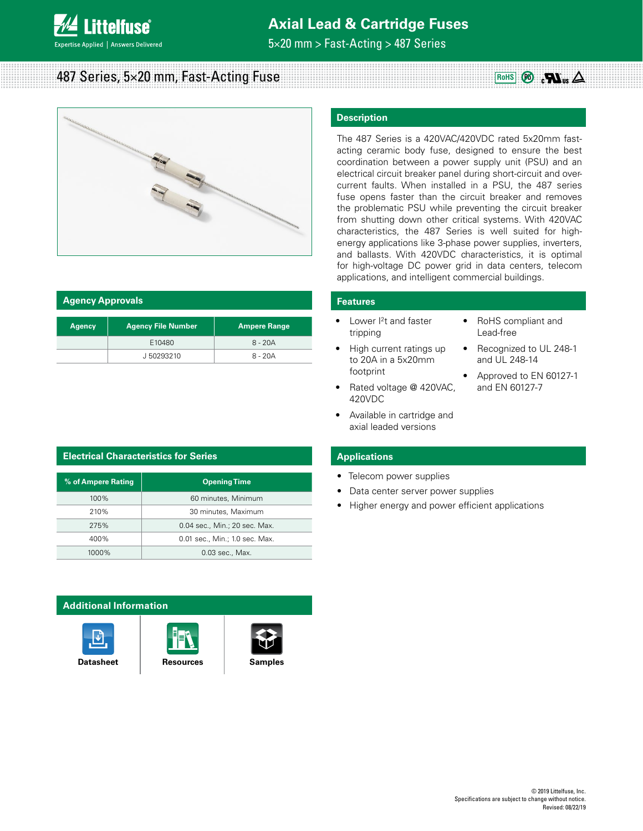

# **Axial Lead & Cartridge Fuses**

5×20 mm > Fast-Acting > 487 Series

# **487 Series, 5×20 mm, Fast-Acting Fuse RowS RowS RowS Pabb**



| <b>Agency Approvals</b>                    |           |                     |  |
|--------------------------------------------|-----------|---------------------|--|
| <b>Agency File Number</b><br><b>Agency</b> |           | <b>Ampere Range</b> |  |
|                                            | E10480    | $8 - 20A$           |  |
|                                            | J50293210 | $8 - 20A$           |  |

# **Electrical Characteristics for Series**

| % of Ampere Rating | <b>Opening Time</b>            |  |  |
|--------------------|--------------------------------|--|--|
| 100%               | 60 minutes, Minimum            |  |  |
| 210%               | 30 minutes, Maximum            |  |  |
| 275%               | 0.04 sec., Min.; 20 sec. Max.  |  |  |
| 400%               | 0.01 sec., Min.; 1.0 sec. Max. |  |  |
| 1000%              | 0.03 sec., Max.                |  |  |

# **Additional Information**







## **Description**

The 487 Series is a 420VAC/420VDC rated 5x20mm fastacting ceramic body fuse, designed to ensure the best coordination between a power supply unit (PSU) and an electrical circuit breaker panel during short-circuit and overcurrent faults. When installed in a PSU, the 487 series fuse opens faster than the circuit breaker and removes the problematic PSU while preventing the circuit breaker from shutting down other critical systems. With 420VAC characteristics, the 487 Series is well suited for highenergy applications like 3-phase power supplies, inverters, and ballasts. With 420VDC characteristics, it is optimal for high-voltage DC power grid in data centers, telecom applications, and intelligent commercial buildings.

## **Features**

- Lower I2t and faster tripping
- High current ratings up to 20A in a 5x20mm footprint
- Rated voltage @ 420VAC, 420VDC
- Available in cartridge and axial leaded versions
- RoHS compliant and Lead-free

 $_{\rm c}$ n  $_{\rm us}$   $\Delta$ 

- Recognized to UL 248-1 and UL 248-14
- Approved to EN 60127-1 and EN 60127-7

## **Applications**

- Telecom power supplies
- Data center server power supplies
- Higher energy and power efficient applications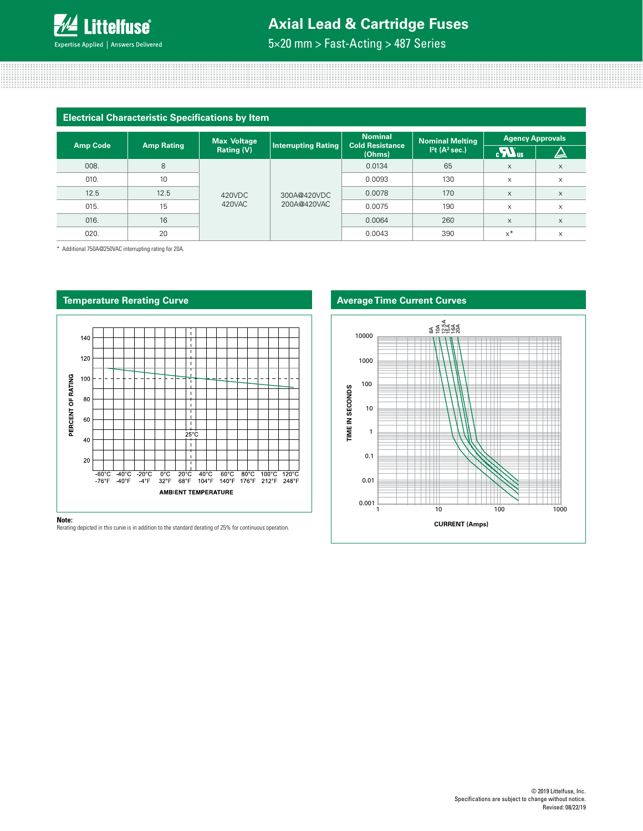

# **Axial Lead & Cartridge Fuses**

5×20 mm > Fast-Acting > 487 Series

| <b>Electrical Characteristic Specifications by Item</b> |                   |                                                |                            |                                          |                                                                  |                 |                         |
|---------------------------------------------------------|-------------------|------------------------------------------------|----------------------------|------------------------------------------|------------------------------------------------------------------|-----------------|-------------------------|
| <b>Amp Code</b>                                         | <b>Amp Rating</b> | <b>Max Voltage</b><br><b>Rating (V)</b>        | <b>Interrupting Rating</b> | <b>Nominal</b><br><b>Cold Resistance</b> | <b>Nominal Melting</b><br>I <sup>2</sup> t (A <sup>2</sup> sec.) | $\mathbf{Z}$ us | <b>Agency Approvals</b> |
|                                                         |                   | 420VDC<br>300A@420VDC<br>420VAC<br>200A@420VAC | (Ohms)                     |                                          |                                                                  |                 |                         |
| 008.                                                    | 8                 |                                                |                            | 0.0134                                   | 65                                                               | $\times$        | X                       |
| 010.                                                    | 10                |                                                |                            | 0.0093                                   | 130                                                              | X               | X                       |
| 12.5                                                    | 12.5              |                                                |                            | 0.0078                                   | 170                                                              | $\times$        | X                       |
| 015.                                                    | 15                |                                                |                            | 0.0075                                   | 190                                                              | X               | X                       |
| 016.                                                    | 16                |                                                |                            | 0.0064                                   | 260                                                              | $\mathsf{x}$    | $\times$                |
| 020.                                                    | 20                |                                                |                            | 0.0043                                   | 390                                                              | $x^*$           | X                       |

\* Additional 750A@250VAC interrupting rating for 20A.



### **Note:**

Rerating depicted in this curve is in addition to the standard derating of 25% for continuous operation.